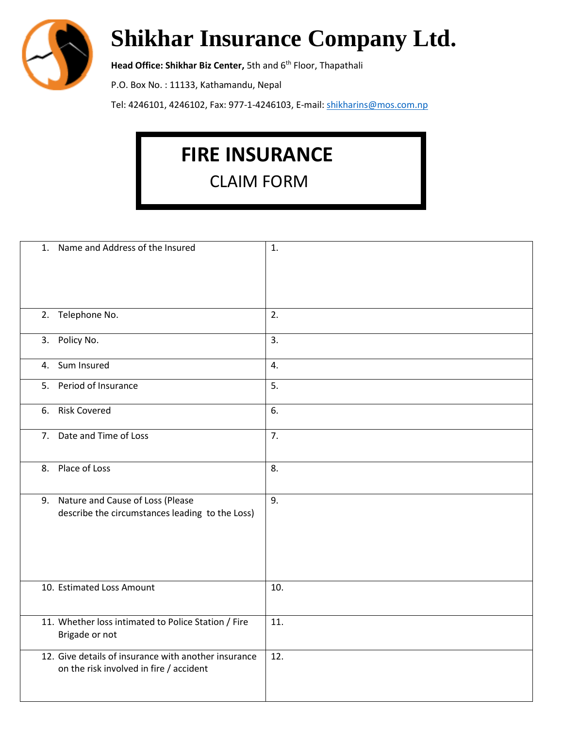

## **Shikhar Insurance Company Ltd.**

**Head Office: Shikhar Biz Center,** 5th and 6<sup>th</sup> Floor, Thapathali

P.O. Box No. : 11133, Kathamandu, Nepal

Tel: 4246101, 4246102, Fax: 977-1-4246103, E-mail: [shikharins@mos.com.np](mailto:shikharins@mos.com.np)

## **FIRE INSURANCE**

CLAIM FORM

| 1. Name and Address of the Insured                                                              | 1.  |
|-------------------------------------------------------------------------------------------------|-----|
| 2. Telephone No.                                                                                | 2.  |
| 3. Policy No.                                                                                   | 3.  |
| 4. Sum Insured                                                                                  | 4.  |
| 5. Period of Insurance                                                                          | 5.  |
| 6. Risk Covered                                                                                 | 6.  |
| 7. Date and Time of Loss                                                                        | 7.  |
| 8. Place of Loss                                                                                | 8.  |
| 9. Nature and Cause of Loss (Please<br>describe the circumstances leading to the Loss)          | 9.  |
| 10. Estimated Loss Amount                                                                       | 10. |
| 11. Whether loss intimated to Police Station / Fire<br>Brigade or not                           | 11. |
| 12. Give details of insurance with another insurance<br>on the risk involved in fire / accident | 12. |